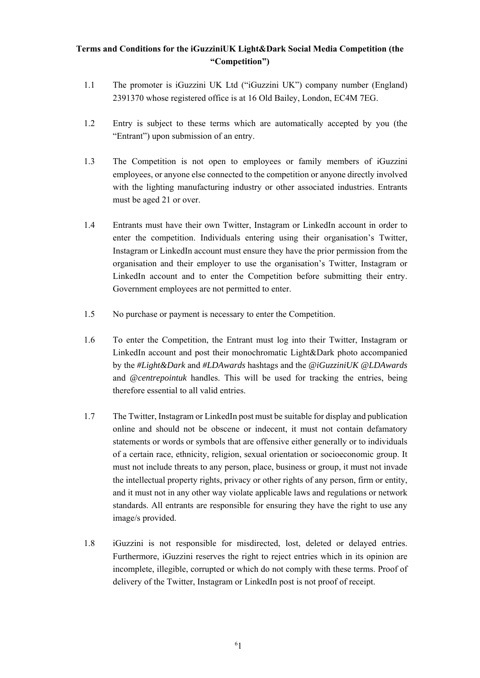## **Terms and Conditions for the iGuzziniUK Light&Dark Social Media Competition (the "Competition")**

- 1.1 The promoter is iGuzzini UK Ltd ("iGuzzini UK") company number (England) 2391370 whose registered office is at 16 Old Bailey, London, EC4M 7EG.
- 1.2 Entry is subject to these terms which are automatically accepted by you (the "Entrant") upon submission of an entry.
- 1.3 The Competition is not open to employees or family members of iGuzzini employees, or anyone else connected to the competition or anyone directly involved with the lighting manufacturing industry or other associated industries. Entrants must be aged 21 or over.
- 1.4 Entrants must have their own Twitter, Instagram or LinkedIn account in order to enter the competition. Individuals entering using their organisation's Twitter, Instagram or LinkedIn account must ensure they have the prior permission from the organisation and their employer to use the organisation's Twitter, Instagram or LinkedIn account and to enter the Competition before submitting their entry. Government employees are not permitted to enter.
- 1.5 No purchase or payment is necessary to enter the Competition.
- 1.6 To enter the Competition, the Entrant must log into their Twitter, Instagram or LinkedIn account and post their monochromatic Light&Dark photo accompanied by the *#Light&Dark* and *#LDAwards* hashtags and the *@iGuzziniUK @LDAwards* and *@centrepointuk* handles. This will be used for tracking the entries, being therefore essential to all valid entries.
- 1.7 The Twitter, Instagram or LinkedIn post must be suitable for display and publication online and should not be obscene or indecent, it must not contain defamatory statements or words or symbols that are offensive either generally or to individuals of a certain race, ethnicity, religion, sexual orientation or socioeconomic group. It must not include threats to any person, place, business or group, it must not invade the intellectual property rights, privacy or other rights of any person, firm or entity, and it must not in any other way violate applicable laws and regulations or network standards. All entrants are responsible for ensuring they have the right to use any image/s provided.
- 1.8 iGuzzini is not responsible for misdirected, lost, deleted or delayed entries. Furthermore, iGuzzini reserves the right to reject entries which in its opinion are incomplete, illegible, corrupted or which do not comply with these terms. Proof of delivery of the Twitter, Instagram or LinkedIn post is not proof of receipt.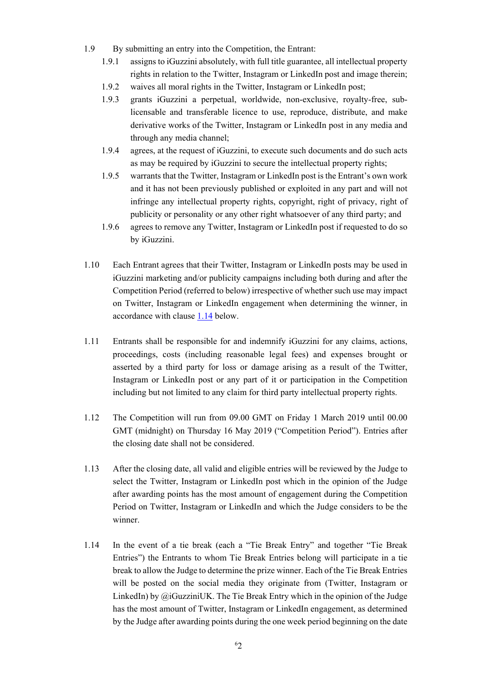- 1.9 By submitting an entry into the Competition, the Entrant:
	- 1.9.1 assigns to iGuzzini absolutely, with full title guarantee, all intellectual property rights in relation to the Twitter, Instagram or LinkedIn post and image therein;
	- 1.9.2 waives all moral rights in the Twitter, Instagram or LinkedIn post;
	- 1.9.3 grants iGuzzini a perpetual, worldwide, non-exclusive, royalty-free, sublicensable and transferable licence to use, reproduce, distribute, and make derivative works of the Twitter, Instagram or LinkedIn post in any media and through any media channel;
	- 1.9.4 agrees, at the request of iGuzzini, to execute such documents and do such acts as may be required by iGuzzini to secure the intellectual property rights;
	- 1.9.5 warrants that the Twitter, Instagram or LinkedIn post is the Entrant's own work and it has not been previously published or exploited in any part and will not infringe any intellectual property rights, copyright, right of privacy, right of publicity or personality or any other right whatsoever of any third party; and
	- 1.9.6 agrees to remove any Twitter, Instagram or LinkedIn post if requested to do so by iGuzzini.
- 1.10 Each Entrant agrees that their Twitter, Instagram or LinkedIn posts may be used in iGuzzini marketing and/or publicity campaigns including both during and after the Competition Period (referred to below) irrespective of whether such use may impact on Twitter, Instagram or LinkedIn engagement when determining the winner, in accordance with clause 1.14 below.
- 1.11 Entrants shall be responsible for and indemnify iGuzzini for any claims, actions, proceedings, costs (including reasonable legal fees) and expenses brought or asserted by a third party for loss or damage arising as a result of the Twitter, Instagram or LinkedIn post or any part of it or participation in the Competition including but not limited to any claim for third party intellectual property rights.
- 1.12 The Competition will run from 09.00 GMT on Friday 1 March 2019 until 00.00 GMT (midnight) on Thursday 16 May 2019 ("Competition Period"). Entries after the closing date shall not be considered.
- 1.13 After the closing date, all valid and eligible entries will be reviewed by the Judge to select the Twitter, Instagram or LinkedIn post which in the opinion of the Judge after awarding points has the most amount of engagement during the Competition Period on Twitter, Instagram or LinkedIn and which the Judge considers to be the winner.
- 1.14 In the event of a tie break (each a "Tie Break Entry" and together "Tie Break Entries") the Entrants to whom Tie Break Entries belong will participate in a tie break to allow the Judge to determine the prize winner. Each of the Tie Break Entries will be posted on the social media they originate from (Twitter, Instagram or LinkedIn) by  $\omega_i$  GuzziniUK. The Tie Break Entry which in the opinion of the Judge has the most amount of Twitter, Instagram or LinkedIn engagement, as determined by the Judge after awarding points during the one week period beginning on the date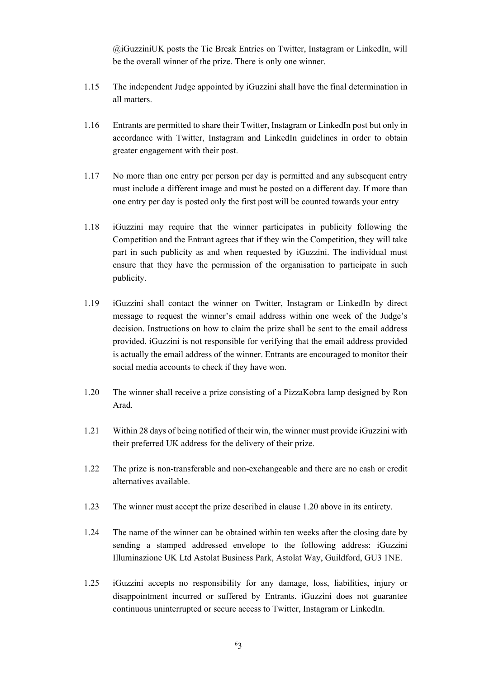@iGuzziniUK posts the Tie Break Entries on Twitter, Instagram or LinkedIn, will be the overall winner of the prize. There is only one winner.

- 1.15 The independent Judge appointed by iGuzzini shall have the final determination in all matters.
- 1.16 Entrants are permitted to share their Twitter, Instagram or LinkedIn post but only in accordance with Twitter, Instagram and LinkedIn guidelines in order to obtain greater engagement with their post.
- 1.17 No more than one entry per person per day is permitted and any subsequent entry must include a different image and must be posted on a different day. If more than one entry per day is posted only the first post will be counted towards your entry
- 1.18 iGuzzini may require that the winner participates in publicity following the Competition and the Entrant agrees that if they win the Competition, they will take part in such publicity as and when requested by iGuzzini. The individual must ensure that they have the permission of the organisation to participate in such publicity.
- 1.19 iGuzzini shall contact the winner on Twitter, Instagram or LinkedIn by direct message to request the winner's email address within one week of the Judge's decision. Instructions on how to claim the prize shall be sent to the email address provided. iGuzzini is not responsible for verifying that the email address provided is actually the email address of the winner. Entrants are encouraged to monitor their social media accounts to check if they have won.
- 1.20 The winner shall receive a prize consisting of a PizzaKobra lamp designed by Ron Arad.
- 1.21 Within 28 days of being notified of their win, the winner must provide iGuzzini with their preferred UK address for the delivery of their prize.
- 1.22 The prize is non-transferable and non-exchangeable and there are no cash or credit alternatives available.
- 1.23 The winner must accept the prize described in clause 1.20 above in its entirety.
- 1.24 The name of the winner can be obtained within ten weeks after the closing date by sending a stamped addressed envelope to the following address: iGuzzini Illuminazione UK Ltd Astolat Business Park, Astolat Way, Guildford, GU3 1NE.
- 1.25 iGuzzini accepts no responsibility for any damage, loss, liabilities, injury or disappointment incurred or suffered by Entrants. iGuzzini does not guarantee continuous uninterrupted or secure access to Twitter, Instagram or LinkedIn.